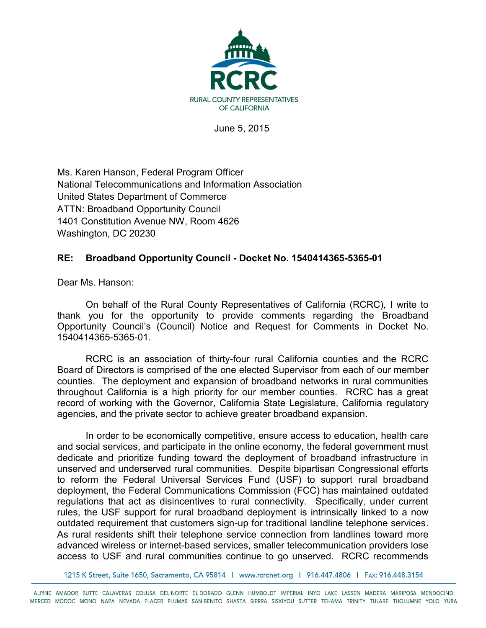

June 5, 2015

Ms. Karen Hanson, Federal Program Officer National Telecommunications and Information Association United States Department of Commerce ATTN: Broadband Opportunity Council 1401 Constitution Avenue NW, Room 4626 Washington, DC 20230

## **RE: Broadband Opportunity Council - Docket No. 1540414365-5365-01**

Dear Ms. Hanson:

On behalf of the Rural County Representatives of California (RCRC), I write to thank you for the opportunity to provide comments regarding the Broadband Opportunity Council's (Council) Notice and Request for Comments in Docket No. 1540414365-5365-01.

RCRC is an association of thirty-four rural California counties and the RCRC Board of Directors is comprised of the one elected Supervisor from each of our member counties. The deployment and expansion of broadband networks in rural communities throughout California is a high priority for our member counties. RCRC has a great record of working with the Governor, California State Legislature, California regulatory agencies, and the private sector to achieve greater broadband expansion.

In order to be economically competitive, ensure access to education, health care and social services, and participate in the online economy, the federal government must dedicate and prioritize funding toward the deployment of broadband infrastructure in unserved and underserved rural communities. Despite bipartisan Congressional efforts to reform the Federal Universal Services Fund (USF) to support rural broadband deployment, the Federal Communications Commission (FCC) has maintained outdated regulations that act as disincentives to rural connectivity. Specifically, under current rules, the USF support for rural broadband deployment is intrinsically linked to a now outdated requirement that customers sign-up for traditional landline telephone services. As rural residents shift their telephone service connection from landlines toward more advanced wireless or internet-based services, smaller telecommunication providers lose access to USF and rural communities continue to go unserved. RCRC recommends

1215 K Street, Suite 1650, Sacramento, CA 95814 | www.rcrcnet.org | 916.447.4806 | FAx: 916.448.3154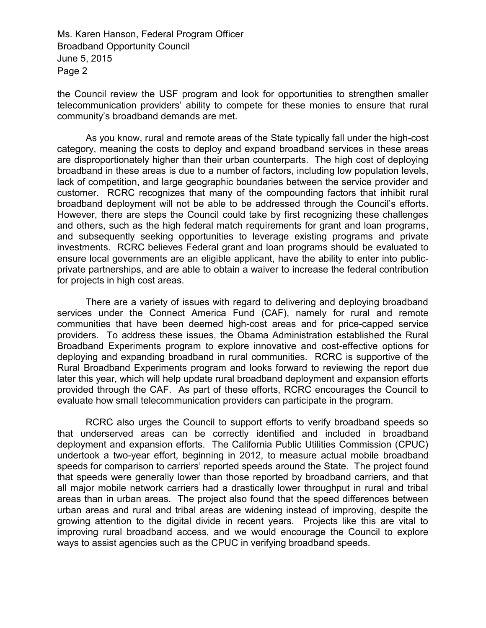Ms. Karen Hanson, Federal Program Officer Broadband Opportunity Council June 5, 2015 Page 2

the Council review the USF program and look for opportunities to strengthen smaller telecommunication providers' ability to compete for these monies to ensure that rural community's broadband demands are met.

As you know, rural and remote areas of the State typically fall under the high-cost category, meaning the costs to deploy and expand broadband services in these areas are disproportionately higher than their urban counterparts. The high cost of deploying broadband in these areas is due to a number of factors, including low population levels, lack of competition, and large geographic boundaries between the service provider and customer. RCRC recognizes that many of the compounding factors that inhibit rural broadband deployment will not be able to be addressed through the Council's efforts. However, there are steps the Council could take by first recognizing these challenges and others, such as the high federal match requirements for grant and loan programs, and subsequently seeking opportunities to leverage existing programs and private investments. RCRC believes Federal grant and loan programs should be evaluated to ensure local governments are an eligible applicant, have the ability to enter into publicprivate partnerships, and are able to obtain a waiver to increase the federal contribution for projects in high cost areas.

There are a variety of issues with regard to delivering and deploying broadband services under the Connect America Fund (CAF), namely for rural and remote communities that have been deemed high-cost areas and for price-capped service providers. To address these issues, the Obama Administration established the Rural Broadband Experiments program to explore innovative and cost-effective options for deploying and expanding broadband in rural communities. RCRC is supportive of the Rural Broadband Experiments program and looks forward to reviewing the report due later this year, which will help update rural broadband deployment and expansion efforts provided through the CAF. As part of these efforts, RCRC encourages the Council to evaluate how small telecommunication providers can participate in the program.

RCRC also urges the Council to support efforts to verify broadband speeds so that underserved areas can be correctly identified and included in broadband deployment and expansion efforts. The California Public Utilities Commission (CPUC) undertook a two-year effort, beginning in 2012, to measure actual mobile broadband speeds for comparison to carriers' reported speeds around the State. The project found that speeds were generally lower than those reported by broadband carriers, and that all major mobile network carriers had a drastically lower throughput in rural and tribal areas than in urban areas. The project also found that the speed differences between urban areas and rural and tribal areas are widening instead of improving, despite the growing attention to the digital divide in recent years. Projects like this are vital to improving rural broadband access, and we would encourage the Council to explore ways to assist agencies such as the CPUC in verifying broadband speeds.